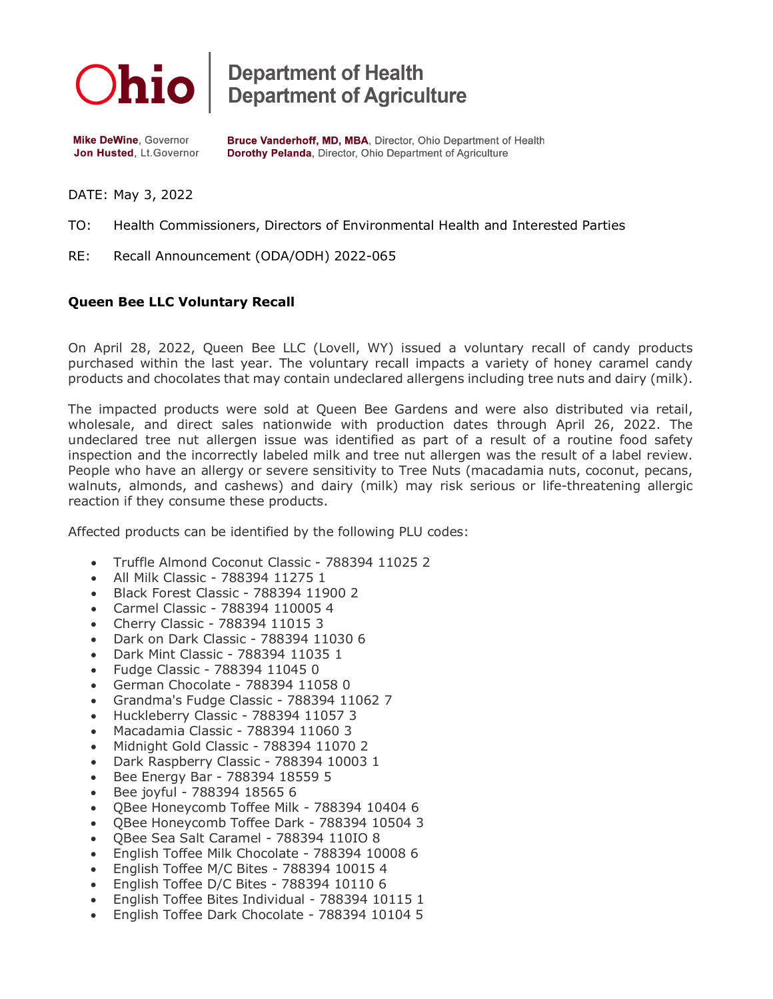

**Department of Health<br>Department of Agriculture** 

**Mike DeWine, Governor** Jon Husted, Lt.Governor Bruce Vanderhoff, MD, MBA, Director, Ohio Department of Health Dorothy Pelanda, Director, Ohio Department of Agriculture

DATE: May 3, 2022

- TO: Health Commissioners, Directors of Environmental Health and Interested Parties
- RE: Recall Announcement (ODA/ODH) 2022-065

## **Queen Bee LLC Voluntary Recall**

On April 28, 2022, Queen Bee LLC (Lovell, WY) issued a voluntary recall of candy products purchased within the last year. The voluntary recall impacts a variety of honey caramel candy products and chocolates that may contain undeclared allergens including tree nuts and dairy (milk).

The impacted products were sold at Queen Bee Gardens and were also distributed via retail, wholesale, and direct sales nationwide with production dates through April 26, 2022. The undeclared tree nut allergen issue was identified as part of a result of a routine food safety inspection and the incorrectly labeled milk and tree nut allergen was the result of a label review. People who have an allergy or severe sensitivity to Tree Nuts (macadamia nuts, coconut, pecans, walnuts, almonds, and cashews) and dairy (milk) may risk serious or life-threatening allergic reaction if they consume these products.

Affected products can be identified by the following PLU codes:

- Truffle Almond Coconut Classic 788394 11025 2
- All Milk Classic 788394 11275 1
- Black Forest Classic 788394 11900 2
- Carmel Classic 788394 110005 4
- Cherry Classic 788394 11015 3
- Dark on Dark Classic 788394 11030 6
- Dark Mint Classic 788394 11035 1
- Fudge Classic 788394 11045 0
- German Chocolate 788394 11058 0
- Grandma's Fudge Classic 788394 11062 7
- Huckleberry Classic 788394 11057 3
- Macadamia Classic 788394 11060 3
- Midnight Gold Classic 788394 11070 2
- Dark Raspberry Classic 788394 10003 1
- Bee Energy Bar 788394 18559 5
- Bee joyful 788394 18565 6
- QBee Honeycomb Toffee Milk 788394 10404 6
- QBee Honeycomb Toffee Dark 788394 10504 3
- QBee Sea Salt Caramel 788394 110IO 8
- English Toffee Milk Chocolate 788394 10008 6
- English Toffee M/C Bites 788394 10015 4
- English Toffee D/C Bites 788394 10110 6
- English Toffee Bites Individual 788394 10115 1
- English Toffee Dark Chocolate 788394 10104 5